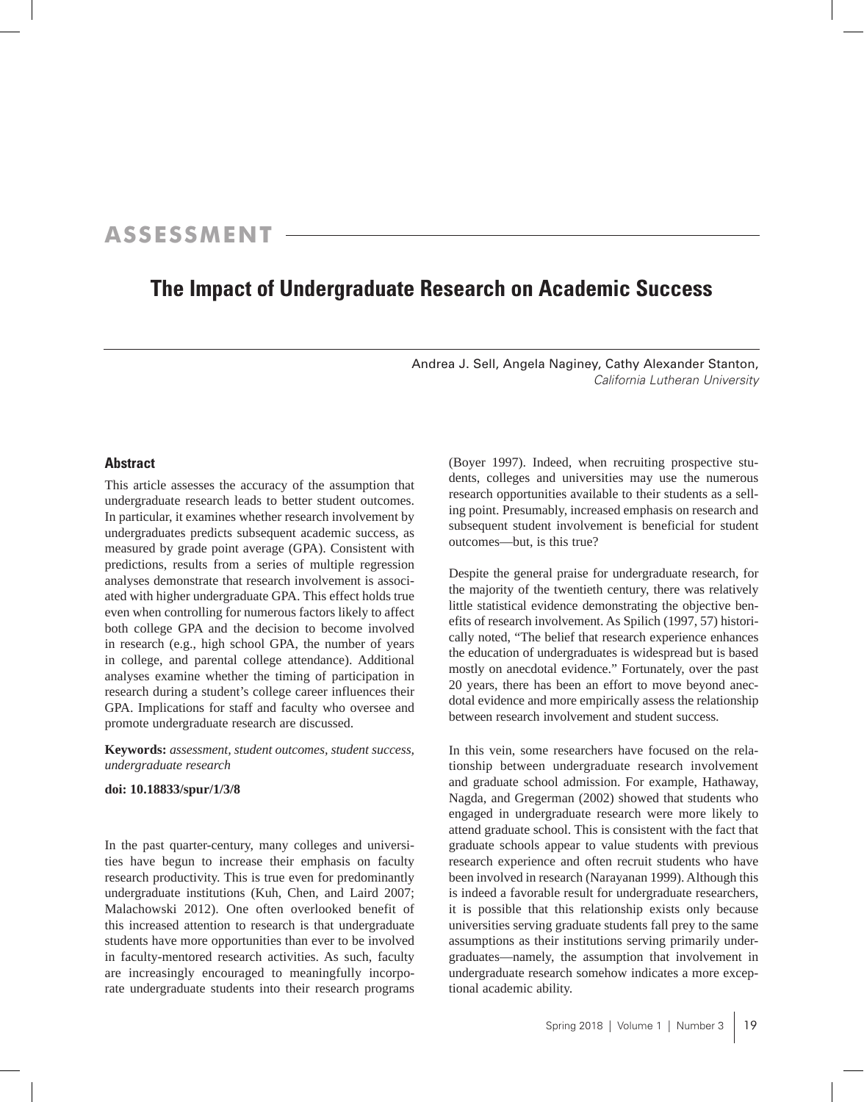# **assessment**

# **The Impact of Undergraduate Research on Academic Success**

Andrea J. Sell, Angela Naginey, Cathy Alexander Stanton, *California Lutheran University*

# **Abstract**

This article assesses the accuracy of the assumption that undergraduate research leads to better student outcomes. In particular, it examines whether research involvement by undergraduates predicts subsequent academic success, as measured by grade point average (GPA). Consistent with predictions, results from a series of multiple regression analyses demonstrate that research involvement is associated with higher undergraduate GPA. This effect holds true even when controlling for numerous factors likely to affect both college GPA and the decision to become involved in research (e.g., high school GPA, the number of years in college, and parental college attendance). Additional analyses examine whether the timing of participation in research during a student's college career influences their GPA. Implications for staff and faculty who oversee and promote undergraduate research are discussed.

**Keywords:** *assessment, student outcomes, student success, undergraduate research*

# **doi: 10.18833/spur/1/3/8**

In the past quarter-century, many colleges and universities have begun to increase their emphasis on faculty research productivity. This is true even for predominantly undergraduate institutions (Kuh, Chen, and Laird 2007; Malachowski 2012). One often overlooked benefit of this increased attention to research is that undergraduate students have more opportunities than ever to be involved in faculty-mentored research activities. As such, faculty are increasingly encouraged to meaningfully incorporate undergraduate students into their research programs (Boyer 1997). Indeed, when recruiting prospective students, colleges and universities may use the numerous research opportunities available to their students as a selling point. Presumably, increased emphasis on research and subsequent student involvement is beneficial for student outcomes—but, is this true?

Despite the general praise for undergraduate research, for the majority of the twentieth century, there was relatively little statistical evidence demonstrating the objective benefits of research involvement. As Spilich (1997, 57) historically noted, "The belief that research experience enhances the education of undergraduates is widespread but is based mostly on anecdotal evidence." Fortunately, over the past 20 years, there has been an effort to move beyond anecdotal evidence and more empirically assess the relationship between research involvement and student success.

In this vein, some researchers have focused on the relationship between undergraduate research involvement and graduate school admission. For example, Hathaway, Nagda, and Gregerman (2002) showed that students who engaged in undergraduate research were more likely to attend graduate school. This is consistent with the fact that graduate schools appear to value students with previous research experience and often recruit students who have been involved in research (Narayanan 1999). Although this is indeed a favorable result for undergraduate researchers, it is possible that this relationship exists only because universities serving graduate students fall prey to the same assumptions as their institutions serving primarily undergraduates—namely, the assumption that involvement in undergraduate research somehow indicates a more exceptional academic ability.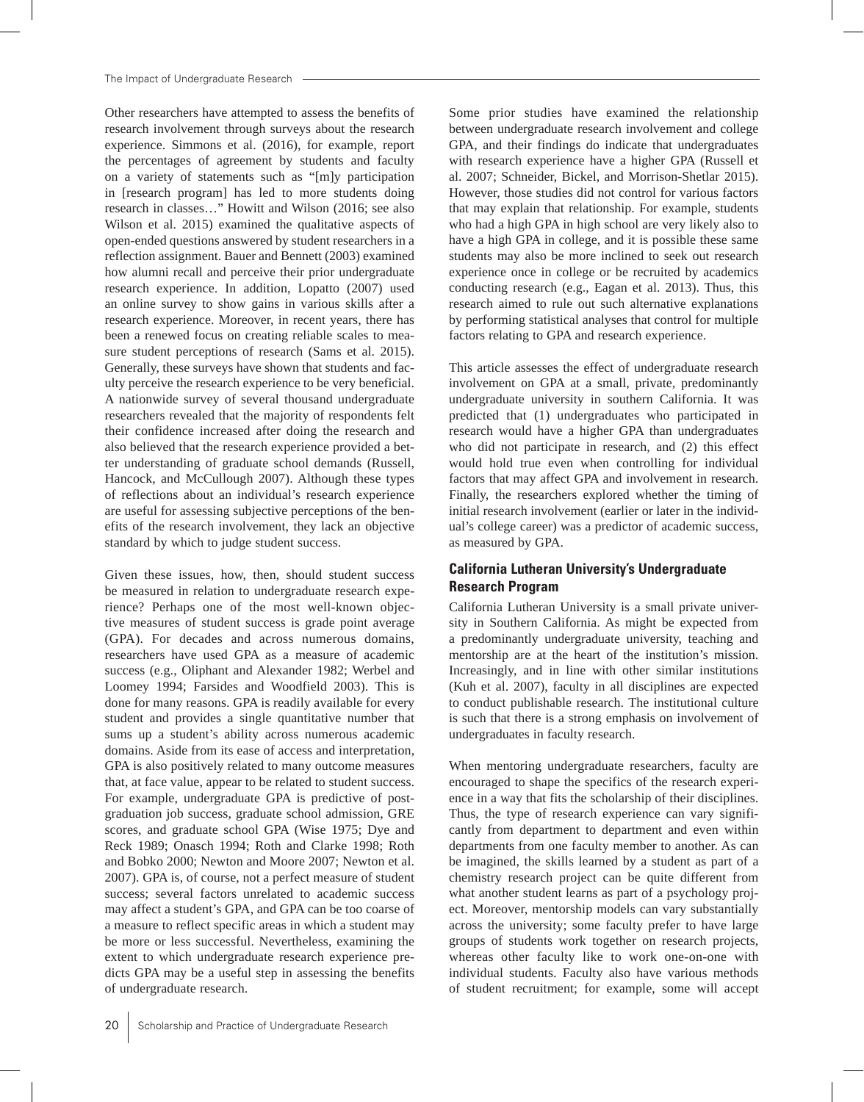Other researchers have attempted to assess the benefits of research involvement through surveys about the research experience. Simmons et al. (2016), for example, report the percentages of agreement by students and faculty on a variety of statements such as "[m]y participation in [research program] has led to more students doing research in classes…" Howitt and Wilson (2016; see also Wilson et al. 2015) examined the qualitative aspects of open-ended questions answered by student researchers in a reflection assignment. Bauer and Bennett (2003) examined how alumni recall and perceive their prior undergraduate research experience. In addition, Lopatto (2007) used an online survey to show gains in various skills after a research experience. Moreover, in recent years, there has been a renewed focus on creating reliable scales to measure student perceptions of research (Sams et al. 2015). Generally, these surveys have shown that students and faculty perceive the research experience to be very beneficial. A nationwide survey of several thousand undergraduate researchers revealed that the majority of respondents felt their confidence increased after doing the research and also believed that the research experience provided a better understanding of graduate school demands (Russell, Hancock, and McCullough 2007). Although these types of reflections about an individual's research experience are useful for assessing subjective perceptions of the benefits of the research involvement, they lack an objective standard by which to judge student success.

Given these issues, how, then, should student success be measured in relation to undergraduate research experience? Perhaps one of the most well-known objective measures of student success is grade point average (GPA). For decades and across numerous domains, researchers have used GPA as a measure of academic success (e.g., Oliphant and Alexander 1982; Werbel and Loomey 1994; Farsides and Woodfield 2003). This is done for many reasons. GPA is readily available for every student and provides a single quantitative number that sums up a student's ability across numerous academic domains. Aside from its ease of access and interpretation, GPA is also positively related to many outcome measures that, at face value, appear to be related to student success. For example, undergraduate GPA is predictive of postgraduation job success, graduate school admission, GRE scores, and graduate school GPA (Wise 1975; Dye and Reck 1989; Onasch 1994; Roth and Clarke 1998; Roth and Bobko 2000; Newton and Moore 2007; Newton et al. 2007). GPA is, of course, not a perfect measure of student success; several factors unrelated to academic success may affect a student's GPA, and GPA can be too coarse of a measure to reflect specific areas in which a student may be more or less successful. Nevertheless, examining the extent to which undergraduate research experience predicts GPA may be a useful step in assessing the benefits of undergraduate research.

Some prior studies have examined the relationship between undergraduate research involvement and college GPA, and their findings do indicate that undergraduates with research experience have a higher GPA (Russell et al. 2007; Schneider, Bickel, and Morrison-Shetlar 2015). However, those studies did not control for various factors that may explain that relationship. For example, students who had a high GPA in high school are very likely also to have a high GPA in college, and it is possible these same students may also be more inclined to seek out research experience once in college or be recruited by academics conducting research (e.g., Eagan et al. 2013). Thus, this research aimed to rule out such alternative explanations by performing statistical analyses that control for multiple factors relating to GPA and research experience.

This article assesses the effect of undergraduate research involvement on GPA at a small, private, predominantly undergraduate university in southern California. It was predicted that (1) undergraduates who participated in research would have a higher GPA than undergraduates who did not participate in research, and (2) this effect would hold true even when controlling for individual factors that may affect GPA and involvement in research. Finally, the researchers explored whether the timing of initial research involvement (earlier or later in the individual's college career) was a predictor of academic success, as measured by GPA.

# **California Lutheran University's Undergraduate Research Program**

California Lutheran University is a small private university in Southern California. As might be expected from a predominantly undergraduate university, teaching and mentorship are at the heart of the institution's mission. Increasingly, and in line with other similar institutions (Kuh et al. 2007), faculty in all disciplines are expected to conduct publishable research. The institutional culture is such that there is a strong emphasis on involvement of undergraduates in faculty research.

When mentoring undergraduate researchers, faculty are encouraged to shape the specifics of the research experience in a way that fits the scholarship of their disciplines. Thus, the type of research experience can vary significantly from department to department and even within departments from one faculty member to another. As can be imagined, the skills learned by a student as part of a chemistry research project can be quite different from what another student learns as part of a psychology project. Moreover, mentorship models can vary substantially across the university; some faculty prefer to have large groups of students work together on research projects, whereas other faculty like to work one-on-one with individual students. Faculty also have various methods of student recruitment; for example, some will accept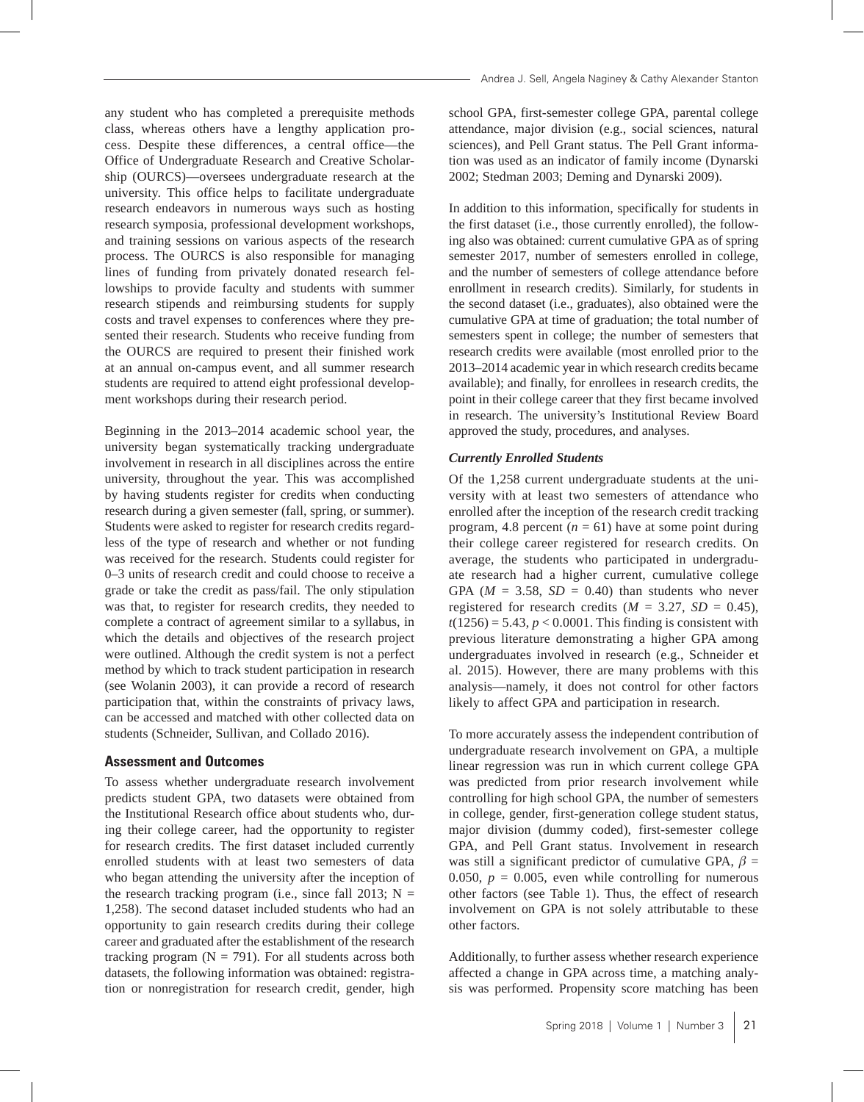any student who has completed a prerequisite methods class, whereas others have a lengthy application process. Despite these differences, a central office—the Office of Undergraduate Research and Creative Scholarship (OURCS)—oversees undergraduate research at the university. This office helps to facilitate undergraduate research endeavors in numerous ways such as hosting research symposia, professional development workshops, and training sessions on various aspects of the research process. The OURCS is also responsible for managing lines of funding from privately donated research fellowships to provide faculty and students with summer research stipends and reimbursing students for supply costs and travel expenses to conferences where they presented their research. Students who receive funding from the OURCS are required to present their finished work at an annual on-campus event, and all summer research students are required to attend eight professional development workshops during their research period.

Beginning in the 2013–2014 academic school year, the university began systematically tracking undergraduate involvement in research in all disciplines across the entire university, throughout the year. This was accomplished by having students register for credits when conducting research during a given semester (fall, spring, or summer). Students were asked to register for research credits regardless of the type of research and whether or not funding was received for the research. Students could register for 0–3 units of research credit and could choose to receive a grade or take the credit as pass/fail. The only stipulation was that, to register for research credits, they needed to complete a contract of agreement similar to a syllabus, in which the details and objectives of the research project were outlined. Although the credit system is not a perfect method by which to track student participation in research (see Wolanin 2003), it can provide a record of research participation that, within the constraints of privacy laws, can be accessed and matched with other collected data on students (Schneider, Sullivan, and Collado 2016).

# **Assessment and Outcomes**

To assess whether undergraduate research involvement predicts student GPA, two datasets were obtained from the Institutional Research office about students who, during their college career, had the opportunity to register for research credits. The first dataset included currently enrolled students with at least two semesters of data who began attending the university after the inception of the research tracking program (i.e., since fall 2013;  $N =$ 1,258). The second dataset included students who had an opportunity to gain research credits during their college career and graduated after the establishment of the research tracking program ( $N = 791$ ). For all students across both datasets, the following information was obtained: registration or nonregistration for research credit, gender, high school GPA, first-semester college GPA, parental college attendance, major division (e.g., social sciences, natural sciences), and Pell Grant status. The Pell Grant information was used as an indicator of family income (Dynarski 2002; Stedman 2003; Deming and Dynarski 2009).

In addition to this information, specifically for students in the first dataset (i.e., those currently enrolled), the following also was obtained: current cumulative GPA as of spring semester 2017, number of semesters enrolled in college, and the number of semesters of college attendance before enrollment in research credits). Similarly, for students in the second dataset (i.e., graduates), also obtained were the cumulative GPA at time of graduation; the total number of semesters spent in college; the number of semesters that research credits were available (most enrolled prior to the 2013–2014 academic year in which research credits became available); and finally, for enrollees in research credits, the point in their college career that they first became involved in research. The university's Institutional Review Board approved the study, procedures, and analyses.

#### *Currently Enrolled Students*

Of the 1,258 current undergraduate students at the university with at least two semesters of attendance who enrolled after the inception of the research credit tracking program, 4.8 percent  $(n = 61)$  have at some point during their college career registered for research credits. On average, the students who participated in undergraduate research had a higher current, cumulative college GPA ( $M = 3.58$ ,  $SD = 0.40$ ) than students who never registered for research credits ( $M = 3.27$ ,  $SD = 0.45$ ),  $t(1256) = 5.43, p < 0.0001$ . This finding is consistent with previous literature demonstrating a higher GPA among undergraduates involved in research (e.g., Schneider et al. 2015). However, there are many problems with this analysis—namely, it does not control for other factors likely to affect GPA and participation in research.

To more accurately assess the independent contribution of undergraduate research involvement on GPA, a multiple linear regression was run in which current college GPA was predicted from prior research involvement while controlling for high school GPA, the number of semesters in college, gender, first-generation college student status, major division (dummy coded), first-semester college GPA, and Pell Grant status. Involvement in research was still a significant predictor of cumulative GPA,  $\beta$  = 0.050,  $p = 0.005$ , even while controlling for numerous other factors (see Table 1). Thus, the effect of research involvement on GPA is not solely attributable to these other factors.

Additionally, to further assess whether research experience affected a change in GPA across time, a matching analysis was performed. Propensity score matching has been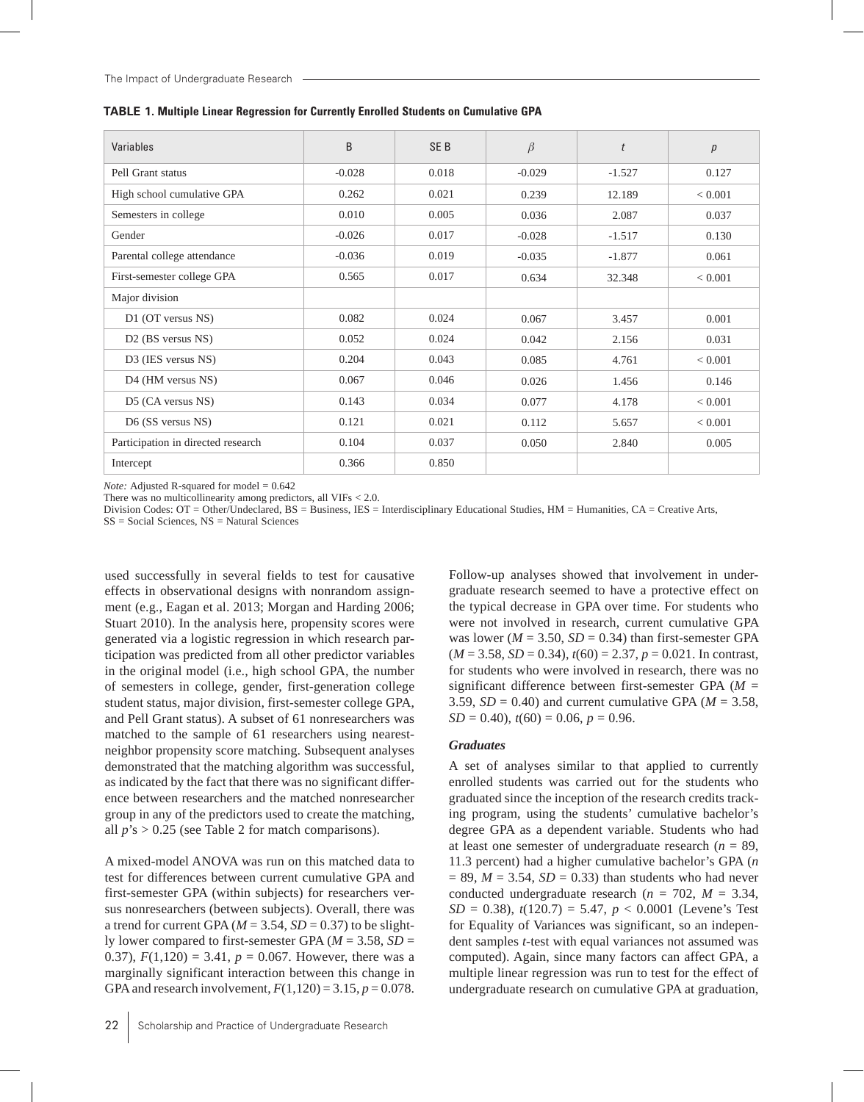| Variables                                  | B        | SE <sub>B</sub> | $\beta$  | $t$      | р           |
|--------------------------------------------|----------|-----------------|----------|----------|-------------|
| Pell Grant status                          | $-0.028$ | 0.018           | $-0.029$ | $-1.527$ | 0.127       |
| High school cumulative GPA                 | 0.262    | 0.021           | 0.239    | 12.189   | < 0.001     |
| Semesters in college                       | 0.010    | 0.005           | 0.036    | 2.087    | 0.037       |
| Gender                                     | $-0.026$ | 0.017           | $-0.028$ | $-1.517$ | 0.130       |
| Parental college attendance                | $-0.036$ | 0.019           | $-0.035$ | $-1.877$ | 0.061       |
| First-semester college GPA                 | 0.565    | 0.017           | 0.634    | 32.348   | ${}< 0.001$ |
| Major division                             |          |                 |          |          |             |
| D1 (OT versus NS)                          | 0.082    | 0.024           | 0.067    | 3.457    | 0.001       |
| D <sub>2</sub> (BS versus N <sub>S</sub> ) | 0.052    | 0.024           | 0.042    | 2.156    | 0.031       |
| D3 (IES versus NS)                         | 0.204    | 0.043           | 0.085    | 4.761    | < 0.001     |
| D4 (HM versus NS)                          | 0.067    | 0.046           | 0.026    | 1.456    | 0.146       |
| D5 (CA versus NS)                          | 0.143    | 0.034           | 0.077    | 4.178    | < 0.001     |
| D6 (SS versus NS)                          | 0.121    | 0.021           | 0.112    | 5.657    | < 0.001     |
| Participation in directed research         | 0.104    | 0.037           | 0.050    | 2.840    | 0.005       |
| Intercept                                  | 0.366    | 0.850           |          |          |             |

**TABLE 1. Multiple Linear Regression for Currently Enrolled Students on Cumulative GPA**

*Note:* Adjusted R-squared for model = 0.642

There was no multicollinearity among predictors, all VIFs < 2.0.

Division Codes: OT = Other/Undeclared, BS = Business, IES = Interdisciplinary Educational Studies, HM = Humanities, CA = Creative Arts,

SS = Social Sciences, NS = Natural Sciences

used successfully in several fields to test for causative effects in observational designs with nonrandom assignment (e.g., Eagan et al. 2013; Morgan and Harding 2006; Stuart 2010). In the analysis here, propensity scores were generated via a logistic regression in which research participation was predicted from all other predictor variables in the original model (i.e., high school GPA, the number of semesters in college, gender, first-generation college student status, major division, first-semester college GPA, and Pell Grant status). A subset of 61 nonresearchers was matched to the sample of 61 researchers using nearestneighbor propensity score matching. Subsequent analyses demonstrated that the matching algorithm was successful, as indicated by the fact that there was no significant difference between researchers and the matched nonresearcher group in any of the predictors used to create the matching, all  $p$ 's  $> 0.25$  (see Table 2 for match comparisons).

A mixed-model ANOVA was run on this matched data to test for differences between current cumulative GPA and first-semester GPA (within subjects) for researchers versus nonresearchers (between subjects). Overall, there was a trend for current GPA ( $M = 3.54$ ,  $SD = 0.37$ ) to be slightly lower compared to first-semester GPA (*M* = 3.58, *SD* = 0.37),  $F(1,120) = 3.41$ ,  $p = 0.067$ . However, there was a marginally significant interaction between this change in GPA and research involvement,  $F(1,120) = 3.15$ ,  $p = 0.078$ .

Follow-up analyses showed that involvement in undergraduate research seemed to have a protective effect on the typical decrease in GPA over time. For students who were not involved in research, current cumulative GPA was lower ( $M = 3.50$ ,  $SD = 0.34$ ) than first-semester GPA  $(M = 3.58, SD = 0.34), t(60) = 2.37, p = 0.021$ . In contrast, for students who were involved in research, there was no significant difference between first-semester GPA (*M* = 3.59,  $SD = 0.40$ ) and current cumulative GPA ( $M = 3.58$ ,  $SD = 0.40$ ,  $t(60) = 0.06$ ,  $p = 0.96$ .

#### *Graduates*

A set of analyses similar to that applied to currently enrolled students was carried out for the students who graduated since the inception of the research credits tracking program, using the students' cumulative bachelor's degree GPA as a dependent variable. Students who had at least one semester of undergraduate research  $(n = 89)$ , 11.3 percent) had a higher cumulative bachelor's GPA (*n*  $= 89, M = 3.54, SD = 0.33$  than students who had never conducted undergraduate research ( $n = 702$ ,  $M = 3.34$ , *SD* = 0.38), *t*(120.7) = 5.47, *p* < 0.0001 (Levene's Test for Equality of Variances was significant, so an independent samples *t*-test with equal variances not assumed was computed). Again, since many factors can affect GPA, a multiple linear regression was run to test for the effect of undergraduate research on cumulative GPA at graduation,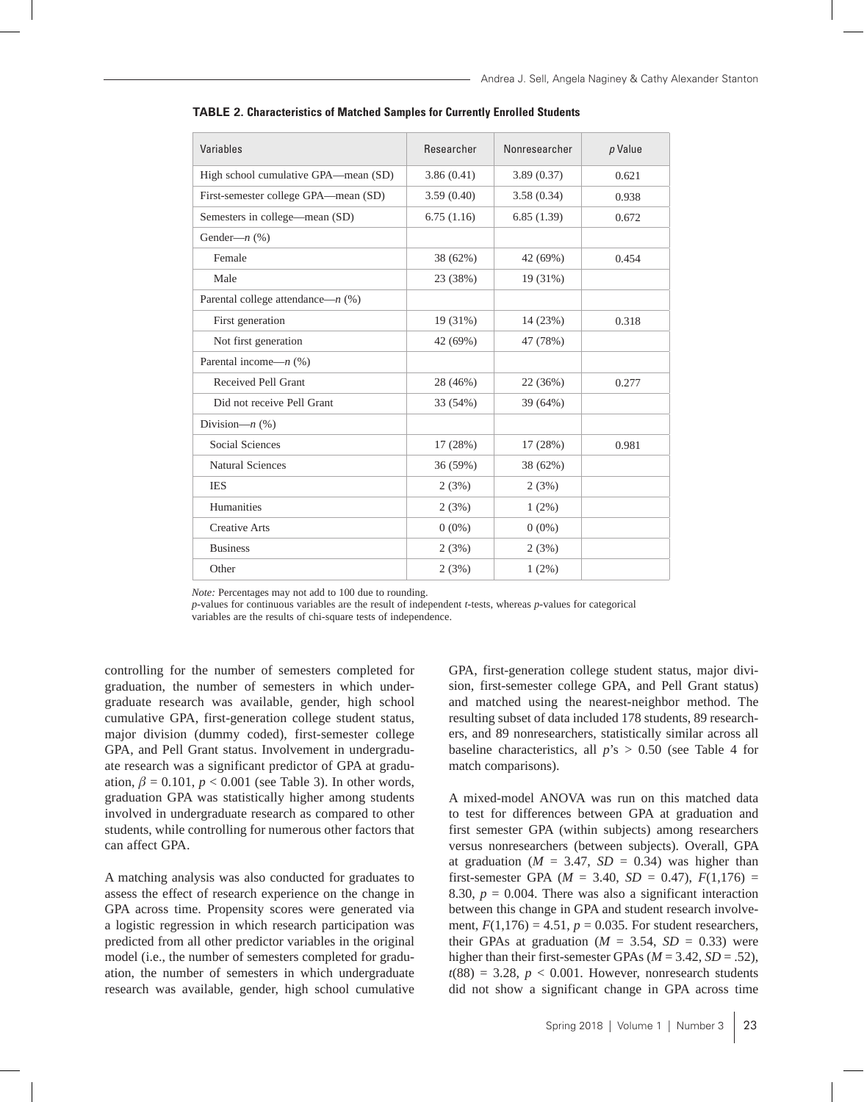| Variables                            | Researcher | Nonresearcher | p Value |
|--------------------------------------|------------|---------------|---------|
| High school cumulative GPA—mean (SD) | 3.86(0.41) | 3.89(0.37)    | 0.621   |
| First-semester college GPA—mean (SD) | 3.59(0.40) | 3.58(0.34)    | 0.938   |
| Semesters in college—mean (SD)       | 6.75(1.16) | 6.85(1.39)    | 0.672   |
| Gender— $n$ $(\%)$                   |            |               |         |
| Female                               | 38 (62%)   | 42 (69%)      | 0.454   |
| Male                                 | 23 (38%)   | 19 (31%)      |         |
| Parental college attendance— $n$ (%) |            |               |         |
| First generation                     | 19 (31%)   | 14 (23%)      | 0.318   |
| Not first generation                 | 42 (69%)   | 47 (78%)      |         |
| Parental income— $n$ (%)             |            |               |         |
| Received Pell Grant                  | 28 (46%)   | 22 (36%)      | 0.277   |
| Did not receive Pell Grant           | 33 (54%)   | 39 (64%)      |         |
| Division— $n$ $(\%)$                 |            |               |         |
| <b>Social Sciences</b>               | 17 (28%)   | 17(28%)       | 0.981   |
| <b>Natural Sciences</b>              | 36 (59%)   | 38 (62%)      |         |
| <b>IES</b>                           | 2(3%)      | 2(3%)         |         |
| Humanities                           | 2(3%)      | 1(2%)         |         |
| <b>Creative Arts</b>                 | $0(0\%)$   | $0(0\%)$      |         |
| <b>Business</b>                      | 2(3%)      | 2(3%)         |         |
| Other                                | 2(3%)      | $1(2\%)$      |         |

**TABLE 2. Characteristics of Matched Samples for Currently Enrolled Students**

*Note:* Percentages may not add to 100 due to rounding.

*p*-values for continuous variables are the result of independent *t*-tests, whereas *p*-values for categorical variables are the results of chi-square tests of independence.

controlling for the number of semesters completed for graduation, the number of semesters in which undergraduate research was available, gender, high school cumulative GPA, first-generation college student status, major division (dummy coded), first-semester college GPA, and Pell Grant status. Involvement in undergraduate research was a significant predictor of GPA at graduation,  $\beta = 0.101$ ,  $p < 0.001$  (see Table 3). In other words, graduation GPA was statistically higher among students involved in undergraduate research as compared to other students, while controlling for numerous other factors that can affect GPA.

A matching analysis was also conducted for graduates to assess the effect of research experience on the change in GPA across time. Propensity scores were generated via a logistic regression in which research participation was predicted from all other predictor variables in the original model (i.e., the number of semesters completed for graduation, the number of semesters in which undergraduate research was available, gender, high school cumulative GPA, first-generation college student status, major division, first-semester college GPA, and Pell Grant status) and matched using the nearest-neighbor method. The resulting subset of data included 178 students, 89 researchers, and 89 nonresearchers, statistically similar across all baseline characteristics, all  $p$ 's  $> 0.50$  (see Table 4 for match comparisons).

A mixed-model ANOVA was run on this matched data to test for differences between GPA at graduation and first semester GPA (within subjects) among researchers versus nonresearchers (between subjects). Overall, GPA at graduation ( $M = 3.47$ ,  $SD = 0.34$ ) was higher than first-semester GPA ( $M = 3.40$ ,  $SD = 0.47$ ),  $F(1,176) =$ 8.30,  $p = 0.004$ . There was also a significant interaction between this change in GPA and student research involvement,  $F(1,176) = 4.51$ ,  $p = 0.035$ . For student researchers, their GPAs at graduation ( $M = 3.54$ ,  $SD = 0.33$ ) were higher than their first-semester GPAs ( $M = 3.42$ ,  $SD = .52$ ),  $t(88) = 3.28$ ,  $p < 0.001$ . However, nonresearch students did not show a significant change in GPA across time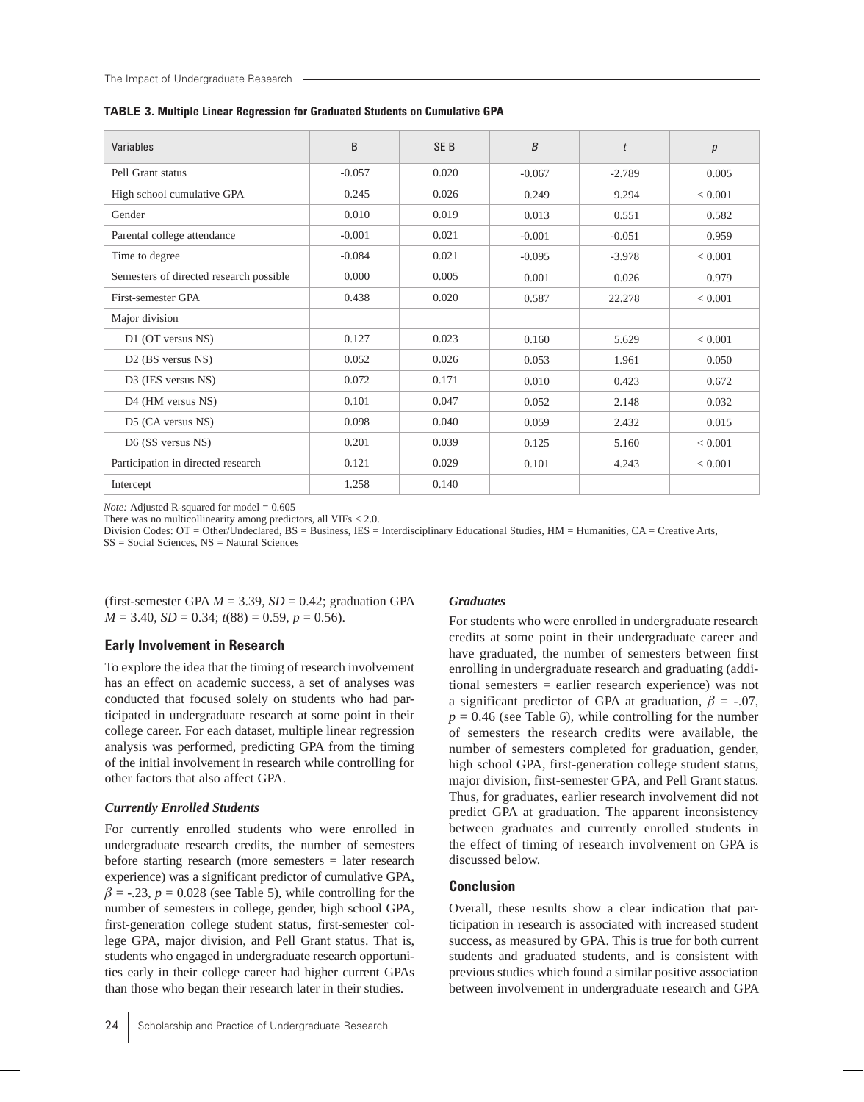|  | <b>TABLE 3. Multiple Linear Regression for Graduated Students on Cumulative GPA</b> |  |  |  |
|--|-------------------------------------------------------------------------------------|--|--|--|
|  |                                                                                     |  |  |  |

| Variables                                  | B        | SE <sub>B</sub> | B        | $t$      | p       |
|--------------------------------------------|----------|-----------------|----------|----------|---------|
| Pell Grant status                          | $-0.057$ | 0.020           | $-0.067$ | $-2.789$ | 0.005   |
| High school cumulative GPA                 | 0.245    | 0.026           | 0.249    | 9.294    | < 0.001 |
| Gender                                     | 0.010    | 0.019           | 0.013    | 0.551    | 0.582   |
| Parental college attendance                | $-0.001$ | 0.021           | $-0.001$ | $-0.051$ | 0.959   |
| Time to degree                             | $-0.084$ | 0.021           | $-0.095$ | $-3.978$ | < 0.001 |
| Semesters of directed research possible    | 0.000    | 0.005           | 0.001    | 0.026    | 0.979   |
| First-semester GPA                         | 0.438    | 0.020           | 0.587    | 22.278   | < 0.001 |
| Major division                             |          |                 |          |          |         |
| D1 (OT versus NS)                          | 0.127    | 0.023           | 0.160    | 5.629    | < 0.001 |
| D <sub>2</sub> (BS versus N <sub>S</sub> ) | 0.052    | 0.026           | 0.053    | 1.961    | 0.050   |
| D3 (IES versus NS)                         | 0.072    | 0.171           | 0.010    | 0.423    | 0.672   |
| D4 (HM versus NS)                          | 0.101    | 0.047           | 0.052    | 2.148    | 0.032   |
| D5 (CA versus NS)                          | 0.098    | 0.040           | 0.059    | 2.432    | 0.015   |
| D6 (SS versus NS)                          | 0.201    | 0.039           | 0.125    | 5.160    | < 0.001 |
| Participation in directed research         | 0.121    | 0.029           | 0.101    | 4.243    | < 0.001 |
| Intercept                                  | 1.258    | 0.140           |          |          |         |

*Note:* Adjusted R-squared for model = 0.605

There was no multicollinearity among predictors, all VIFs < 2.0.

Division Codes: OT = Other/Undeclared, BS = Business, IES = Interdisciplinary Educational Studies, HM = Humanities, CA = Creative Arts,

SS = Social Sciences, NS = Natural Sciences

(first-semester GPA  $M = 3.39$ ,  $SD = 0.42$ ; graduation GPA  $M = 3.40$ ,  $SD = 0.34$ ;  $t(88) = 0.59$ ,  $p = 0.56$ ).

### **Early Involvement in Research**

To explore the idea that the timing of research involvement has an effect on academic success, a set of analyses was conducted that focused solely on students who had participated in undergraduate research at some point in their college career. For each dataset, multiple linear regression analysis was performed, predicting GPA from the timing of the initial involvement in research while controlling for other factors that also affect GPA.

# *Currently Enrolled Students*

For currently enrolled students who were enrolled in undergraduate research credits, the number of semesters before starting research (more semesters = later research experience) was a significant predictor of cumulative GPA,  $\beta$  = -.23, *p* = 0.028 (see Table 5), while controlling for the number of semesters in college, gender, high school GPA, first-generation college student status, first-semester college GPA, major division, and Pell Grant status. That is, students who engaged in undergraduate research opportunities early in their college career had higher current GPAs than those who began their research later in their studies.

#### *Graduates*

For students who were enrolled in undergraduate research credits at some point in their undergraduate career and have graduated, the number of semesters between first enrolling in undergraduate research and graduating (additional semesters = earlier research experience) was not a significant predictor of GPA at graduation,  $\beta$  = -.07,  $p = 0.46$  (see Table 6), while controlling for the number of semesters the research credits were available, the number of semesters completed for graduation, gender, high school GPA, first-generation college student status, major division, first-semester GPA, and Pell Grant status. Thus, for graduates, earlier research involvement did not predict GPA at graduation. The apparent inconsistency between graduates and currently enrolled students in the effect of timing of research involvement on GPA is discussed below.

# **Conclusion**

Overall, these results show a clear indication that participation in research is associated with increased student success, as measured by GPA. This is true for both current students and graduated students, and is consistent with previous studies which found a similar positive association between involvement in undergraduate research and GPA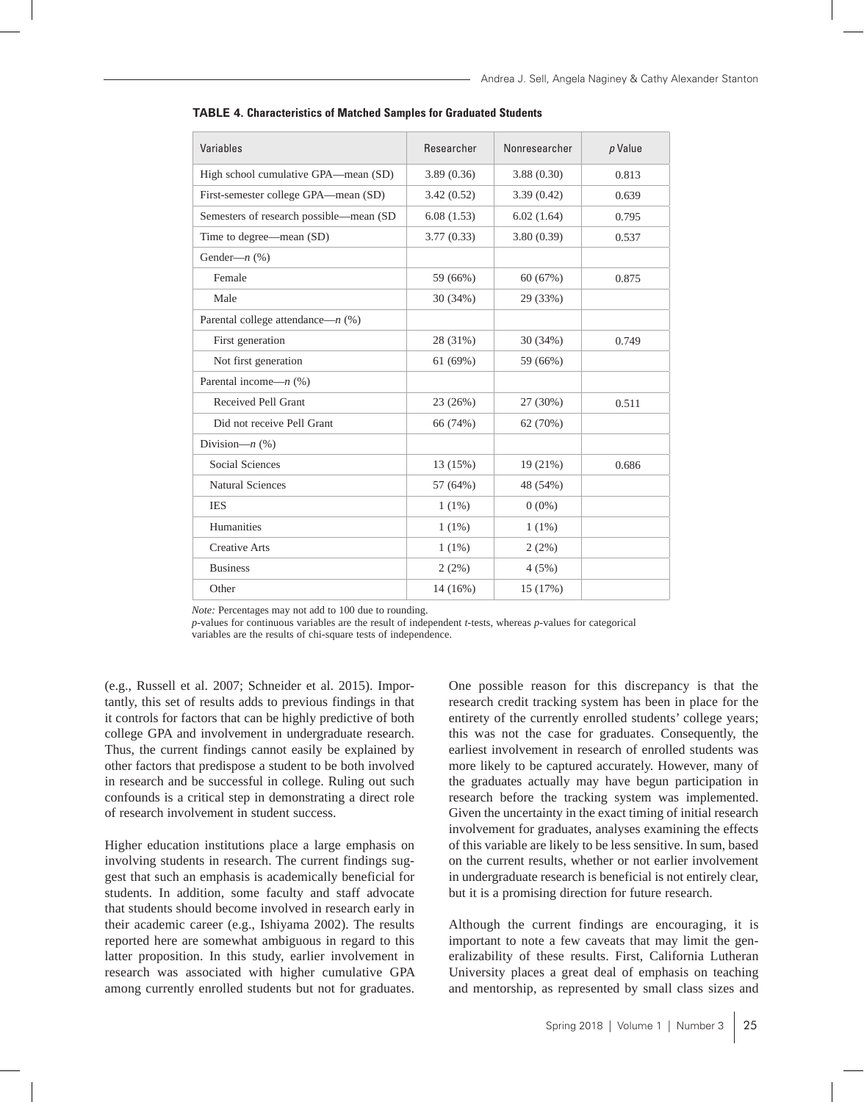| Variables                               | Researcher | Nonresearcher | p Value |
|-----------------------------------------|------------|---------------|---------|
| High school cumulative GPA—mean (SD)    | 3.89(0.36) | 3.88(0.30)    | 0.813   |
| First-semester college GPA—mean (SD)    | 3.42(0.52) | 3.39(0.42)    | 0.639   |
| Semesters of research possible—mean (SD | 6.08(1.53) | 6.02(1.64)    | 0.795   |
| Time to degree—mean (SD)                | 3.77(0.33) | 3.80(0.39)    | 0.537   |
| Gender— $n$ $(\%)$                      |            |               |         |
| Female                                  | 59 (66%)   | 60 (67%)      | 0.875   |
| Male                                    | 30 (34%)   | 29 (33%)      |         |
| Parental college attendance— $n$ (%)    |            |               |         |
| First generation                        | 28 (31%)   | 30(34%)       | 0.749   |
| Not first generation                    | 61(69%)    | 59 (66%)      |         |
| Parental income— $n$ (%)                |            |               |         |
| Received Pell Grant                     | 23 (26%)   | 27 (30%)      | 0.511   |
| Did not receive Pell Grant              | 66 (74%)   | 62 (70%)      |         |
| Division— $n$ $(\%)$                    |            |               |         |
| <b>Social Sciences</b>                  | 13 (15%)   | 19(21%)       | 0.686   |
| <b>Natural Sciences</b>                 | 57 (64%)   | 48 (54%)      |         |
| <b>IES</b>                              | $1(1\%)$   | $0(0\%)$      |         |
| Humanities                              | $1(1\%)$   | $1(1\%)$      |         |
| <b>Creative Arts</b>                    | $1(1\%)$   | 2(2%)         |         |
| <b>Business</b>                         | 2(2%)      | 4(5%)         |         |
| Other                                   | 14 (16%)   | 15 (17%)      |         |

**TABLE 4. Characteristics of Matched Samples for Graduated Students**

*Note:* Percentages may not add to 100 due to rounding.

*p*-values for continuous variables are the result of independent *t*-tests, whereas *p*-values for categorical variables are the results of chi-square tests of independence.

(e.g., Russell et al. 2007; Schneider et al. 2015). Importantly, this set of results adds to previous findings in that it controls for factors that can be highly predictive of both college GPA and involvement in undergraduate research. Thus, the current findings cannot easily be explained by other factors that predispose a student to be both involved in research and be successful in college. Ruling out such confounds is a critical step in demonstrating a direct role of research involvement in student success.

Higher education institutions place a large emphasis on involving students in research. The current findings suggest that such an emphasis is academically beneficial for students. In addition, some faculty and staff advocate that students should become involved in research early in their academic career (e.g., Ishiyama 2002). The results reported here are somewhat ambiguous in regard to this latter proposition. In this study, earlier involvement in research was associated with higher cumulative GPA among currently enrolled students but not for graduates.

One possible reason for this discrepancy is that the research credit tracking system has been in place for the entirety of the currently enrolled students' college years; this was not the case for graduates. Consequently, the earliest involvement in research of enrolled students was more likely to be captured accurately. However, many of the graduates actually may have begun participation in research before the tracking system was implemented. Given the uncertainty in the exact timing of initial research involvement for graduates, analyses examining the effects of this variable are likely to be less sensitive. In sum, based on the current results, whether or not earlier involvement in undergraduate research is beneficial is not entirely clear, but it is a promising direction for future research.

Although the current findings are encouraging, it is important to note a few caveats that may limit the generalizability of these results. First, California Lutheran University places a great deal of emphasis on teaching and mentorship, as represented by small class sizes and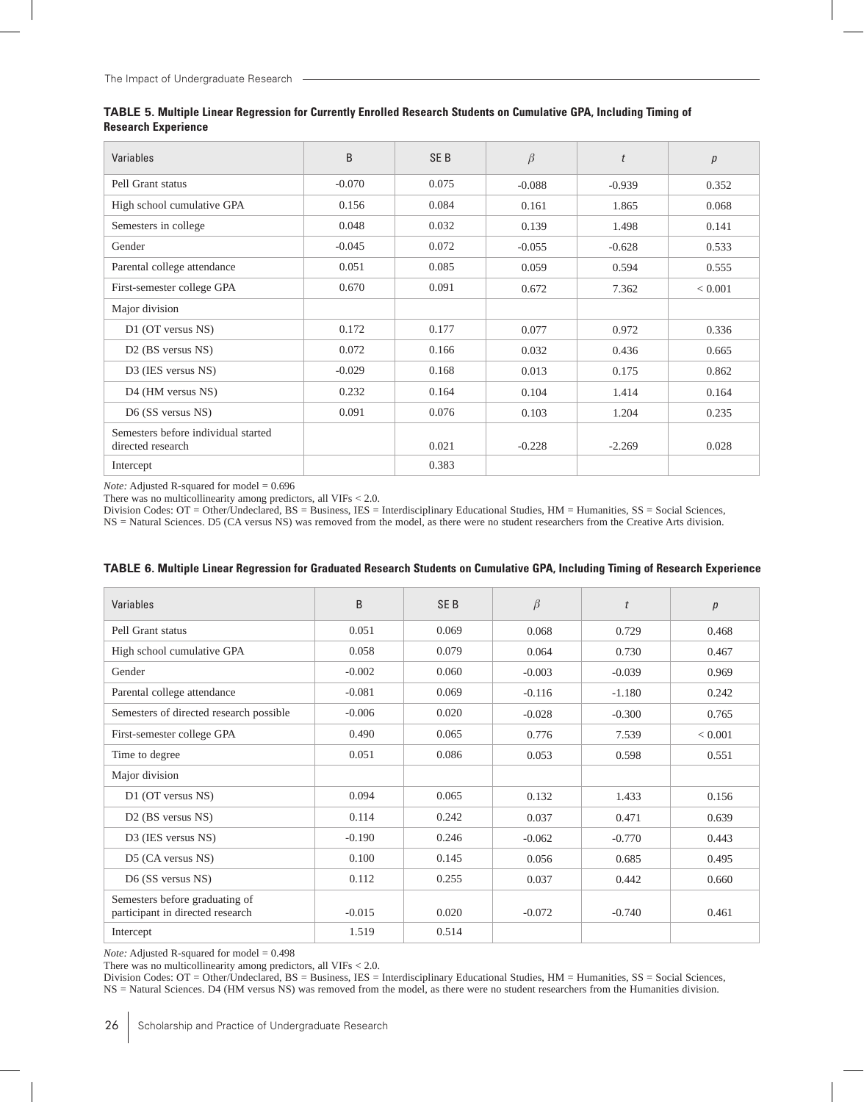| Variables                                                | B        | SE <sub>B</sub> | $\beta$  | $\mathfrak{t}$ | p       |
|----------------------------------------------------------|----------|-----------------|----------|----------------|---------|
| Pell Grant status                                        | $-0.070$ | 0.075           | $-0.088$ | $-0.939$       | 0.352   |
| High school cumulative GPA                               | 0.156    | 0.084           | 0.161    | 1.865          | 0.068   |
| Semesters in college                                     | 0.048    | 0.032           | 0.139    | 1.498          | 0.141   |
| Gender                                                   | $-0.045$ | 0.072           | $-0.055$ | $-0.628$       | 0.533   |
| Parental college attendance                              | 0.051    | 0.085           | 0.059    | 0.594          | 0.555   |
| First-semester college GPA                               | 0.670    | 0.091           | 0.672    | 7.362          | < 0.001 |
| Major division                                           |          |                 |          |                |         |
| D1 (OT versus NS)                                        | 0.172    | 0.177           | 0.077    | 0.972          | 0.336   |
| D <sub>2</sub> (BS versus N <sub>S</sub> )               | 0.072    | 0.166           | 0.032    | 0.436          | 0.665   |
| D3 (IES versus NS)                                       | $-0.029$ | 0.168           | 0.013    | 0.175          | 0.862   |
| D <sub>4</sub> (HM versus N <sub>S</sub> )               | 0.232    | 0.164           | 0.104    | 1.414          | 0.164   |
| D6 (SS versus NS)                                        | 0.091    | 0.076           | 0.103    | 1.204          | 0.235   |
| Semesters before individual started<br>directed research |          | 0.021           | $-0.228$ | $-2.269$       | 0.028   |
| Intercept                                                |          | 0.383           |          |                |         |

| TABLE 5. Multiple Linear Regression for Currently Enrolled Research Students on Cumulative GPA, Including Timing of |  |  |  |
|---------------------------------------------------------------------------------------------------------------------|--|--|--|
| <b>Research Experience</b>                                                                                          |  |  |  |

*Note:* Adjusted R-squared for model = 0.696

There was no multicollinearity among predictors, all VIFs < 2.0.

Division Codes: OT = Other/Undeclared, BS = Business, IES = Interdisciplinary Educational Studies, HM = Humanities, SS = Social Sciences, NS = Natural Sciences. D5 (CA versus NS) was removed from the model, as there were no student researchers from the Creative Arts division.

| Variables                                                          | B        | SE <sub>B</sub> | $\beta$  | $\mathfrak{t}$ | р       |
|--------------------------------------------------------------------|----------|-----------------|----------|----------------|---------|
| Pell Grant status                                                  | 0.051    | 0.069           | 0.068    | 0.729          | 0.468   |
| High school cumulative GPA                                         | 0.058    | 0.079           | 0.064    | 0.730          | 0.467   |
| Gender                                                             | $-0.002$ | 0.060           | $-0.003$ | $-0.039$       | 0.969   |
| Parental college attendance                                        | $-0.081$ | 0.069           | $-0.116$ | $-1.180$       | 0.242   |
| Semesters of directed research possible                            | $-0.006$ | 0.020           | $-0.028$ | $-0.300$       | 0.765   |
| First-semester college GPA                                         | 0.490    | 0.065           | 0.776    | 7.539          | < 0.001 |
| Time to degree                                                     | 0.051    | 0.086           | 0.053    | 0.598          | 0.551   |
| Major division                                                     |          |                 |          |                |         |
| D1 (OT versus NS)                                                  | 0.094    | 0.065           | 0.132    | 1.433          | 0.156   |
| D <sub>2</sub> (BS versus N <sub>S</sub> )                         | 0.114    | 0.242           | 0.037    | 0.471          | 0.639   |
| D3 (IES versus NS)                                                 | $-0.190$ | 0.246           | $-0.062$ | $-0.770$       | 0.443   |
| D5 (CA versus NS)                                                  | 0.100    | 0.145           | 0.056    | 0.685          | 0.495   |
| D6 (SS versus NS)                                                  | 0.112    | 0.255           | 0.037    | 0.442          | 0.660   |
| Semesters before graduating of<br>participant in directed research | $-0.015$ | 0.020           | $-0.072$ | $-0.740$       | 0.461   |
| Intercept                                                          | 1.519    | 0.514           |          |                |         |

### **TABLE 6. Multiple Linear Regression for Graduated Research Students on Cumulative GPA, Including Timing of Research Experience**

*Note:* Adjusted R-squared for model = 0.498

There was no multicollinearity among predictors, all VIFs < 2.0.

Division Codes: OT = Other/Undeclared, BS = Business, IES = Interdisciplinary Educational Studies, HM = Humanities, SS = Social Sciences, NS = Natural Sciences. D4 (HM versus NS) was removed from the model, as there were no student researchers from the Humanities division.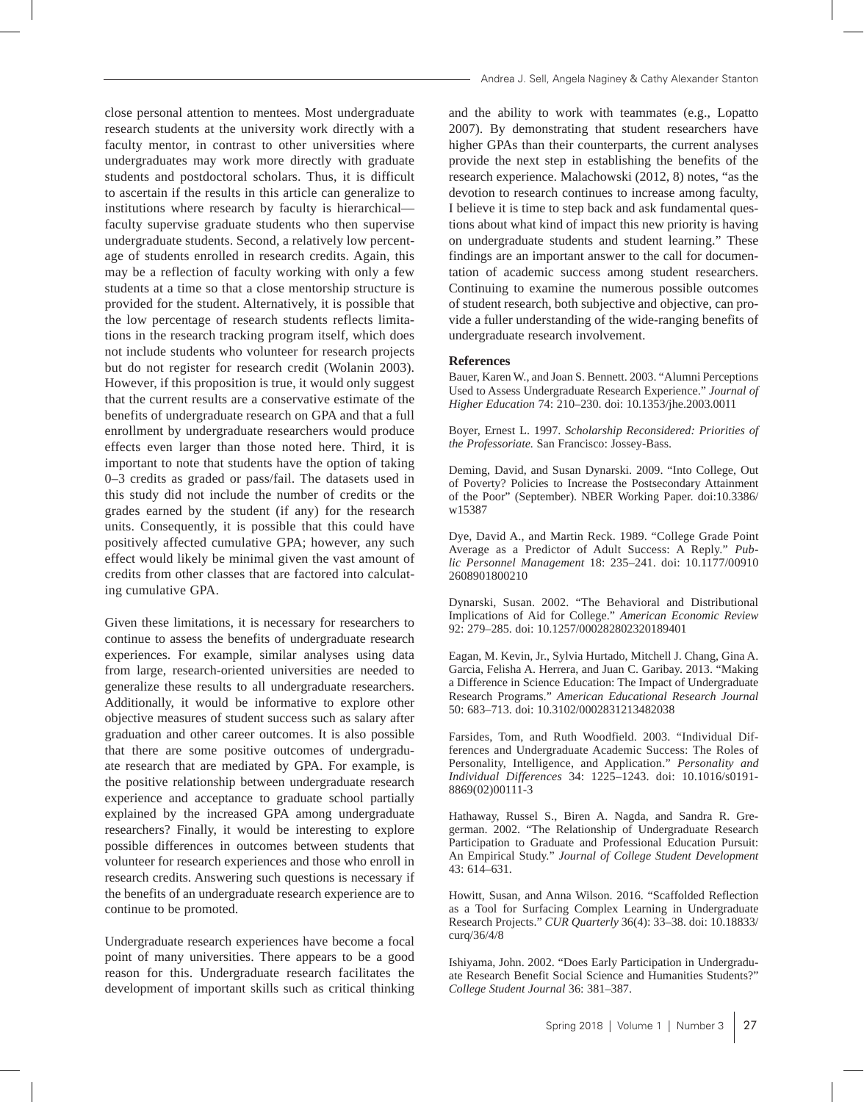close personal attention to mentees. Most undergraduate research students at the university work directly with a faculty mentor, in contrast to other universities where undergraduates may work more directly with graduate students and postdoctoral scholars. Thus, it is difficult to ascertain if the results in this article can generalize to institutions where research by faculty is hierarchical faculty supervise graduate students who then supervise undergraduate students. Second, a relatively low percentage of students enrolled in research credits. Again, this may be a reflection of faculty working with only a few students at a time so that a close mentorship structure is provided for the student. Alternatively, it is possible that the low percentage of research students reflects limitations in the research tracking program itself, which does not include students who volunteer for research projects but do not register for research credit (Wolanin 2003). However, if this proposition is true, it would only suggest that the current results are a conservative estimate of the benefits of undergraduate research on GPA and that a full enrollment by undergraduate researchers would produce effects even larger than those noted here. Third, it is important to note that students have the option of taking 0–3 credits as graded or pass/fail. The datasets used in this study did not include the number of credits or the grades earned by the student (if any) for the research units. Consequently, it is possible that this could have positively affected cumulative GPA; however, any such effect would likely be minimal given the vast amount of credits from other classes that are factored into calculating cumulative GPA.

Given these limitations, it is necessary for researchers to continue to assess the benefits of undergraduate research experiences. For example, similar analyses using data from large, research-oriented universities are needed to generalize these results to all undergraduate researchers. Additionally, it would be informative to explore other objective measures of student success such as salary after graduation and other career outcomes. It is also possible that there are some positive outcomes of undergraduate research that are mediated by GPA. For example, is the positive relationship between undergraduate research experience and acceptance to graduate school partially explained by the increased GPA among undergraduate researchers? Finally, it would be interesting to explore possible differences in outcomes between students that volunteer for research experiences and those who enroll in research credits. Answering such questions is necessary if the benefits of an undergraduate research experience are to continue to be promoted.

Undergraduate research experiences have become a focal point of many universities. There appears to be a good reason for this. Undergraduate research facilitates the development of important skills such as critical thinking Andrea J. Sell, Angela Naginey & Cathy Alexander Stanton

and the ability to work with teammates (e.g., Lopatto 2007). By demonstrating that student researchers have higher GPAs than their counterparts, the current analyses provide the next step in establishing the benefits of the research experience. Malachowski (2012, 8) notes, "as the devotion to research continues to increase among faculty, I believe it is time to step back and ask fundamental questions about what kind of impact this new priority is having on undergraduate students and student learning." These findings are an important answer to the call for documentation of academic success among student researchers. Continuing to examine the numerous possible outcomes of student research, both subjective and objective, can provide a fuller understanding of the wide-ranging benefits of undergraduate research involvement.

# **References**

Bauer, Karen W., and Joan S. Bennett. 2003. "Alumni Perceptions Used to Assess Undergraduate Research Experience." *Journal of Higher Education* 74: 210–230. doi: 10.1353/jhe.2003.0011

Boyer, Ernest L. 1997. *Scholarship Reconsidered: Priorities of the Professoriate.* San Francisco: Jossey-Bass.

Deming, David, and Susan Dynarski. 2009. "Into College, Out of Poverty? Policies to Increase the Postsecondary Attainment of the Poor" (September). NBER Working Paper. doi:10.3386/ w15387

Dye, David A., and Martin Reck. 1989. "College Grade Point Average as a Predictor of Adult Success: A Reply." *Public Personnel Management* 18: 235–241. doi: 10.1177/00910 2608901800210

Dynarski, Susan. 2002. "The Behavioral and Distributional Implications of Aid for College." *American Economic Review*  92: 279–285. doi: 10.1257/000282802320189401

Eagan, M. Kevin, Jr., Sylvia Hurtado, Mitchell J. Chang, Gina A. Garcia, Felisha A. Herrera, and Juan C. Garibay. 2013. "Making a Difference in Science Education: The Impact of Undergraduate Research Programs." *American Educational Research Journal* 50: 683–713. doi: 10.3102/0002831213482038

Farsides, Tom, and Ruth Woodfield. 2003. "Individual Differences and Undergraduate Academic Success: The Roles of Personality, Intelligence, and Application." *Personality and Individual Differences* 34: 1225–1243. doi: 10.1016/s0191- 8869(02)00111-3

Hathaway, Russel S., Biren A. Nagda, and Sandra R. Gregerman. 2002. "The Relationship of Undergraduate Research Participation to Graduate and Professional Education Pursuit: An Empirical Study." *Journal of College Student Development* 43: 614–631.

Howitt, Susan, and Anna Wilson. 2016. "Scaffolded Reflection as a Tool for Surfacing Complex Learning in Undergraduate Research Projects." *CUR Quarterly* 36(4): 33–38. doi: 10.18833/ curq/36/4/8

Ishiyama, John. 2002. "Does Early Participation in Undergraduate Research Benefit Social Science and Humanities Students?" *College Student Journal* 36: 381–387.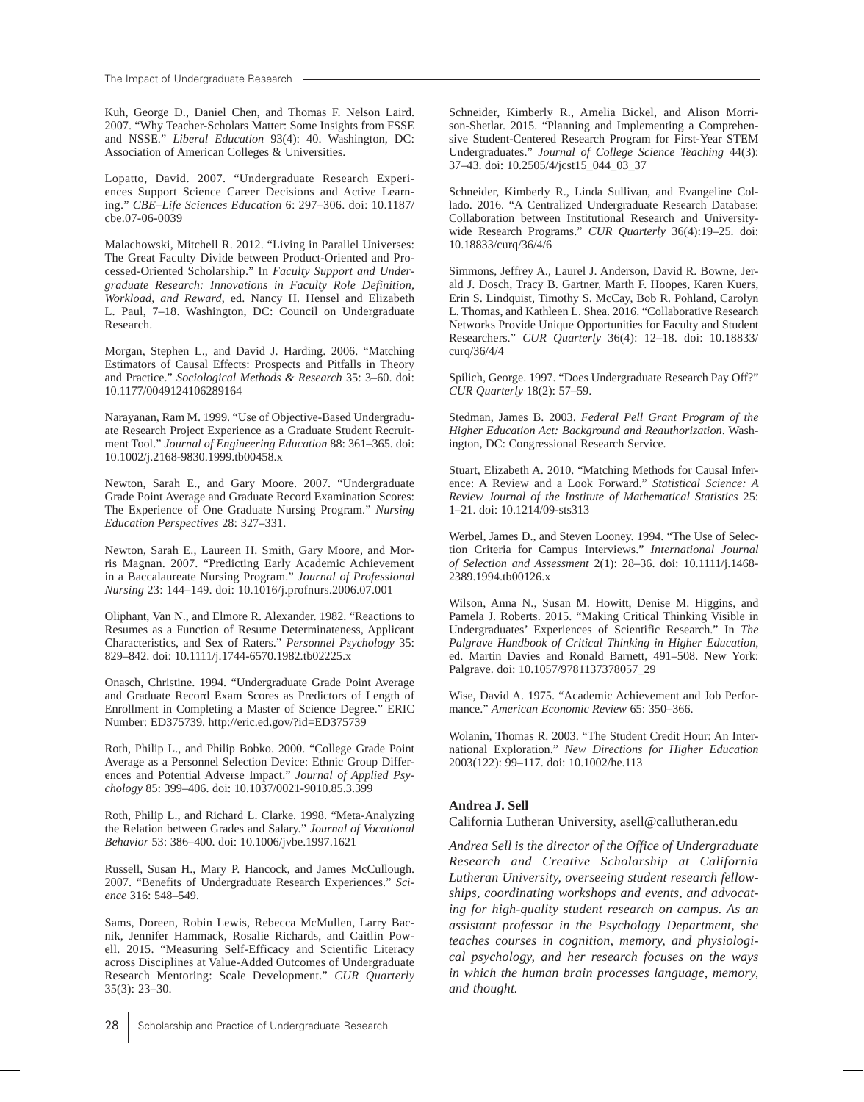The Impact of Undergraduate Research

Kuh, George D., Daniel Chen, and Thomas F. Nelson Laird. 2007. "Why Teacher-Scholars Matter: Some Insights from FSSE and NSSE." *Liberal Education* 93(4): 40. Washington, DC: Association of American Colleges & Universities.

Lopatto, David. 2007. "Undergraduate Research Experiences Support Science Career Decisions and Active Learning." *CBE–Life Sciences Education* 6: 297–306. doi: 10.1187/ cbe.07-06-0039

Malachowski, Mitchell R. 2012. "Living in Parallel Universes: The Great Faculty Divide between Product-Oriented and Processed-Oriented Scholarship." In *Faculty Support and Undergraduate Research: Innovations in Faculty Role Definition, Workload, and Reward*, ed. Nancy H. Hensel and Elizabeth L. Paul, 7–18. Washington, DC: Council on Undergraduate Research.

Morgan, Stephen L., and David J. Harding. 2006. "Matching Estimators of Causal Effects: Prospects and Pitfalls in Theory and Practice." *Sociological Methods & Research* 35: 3–60. doi: 10.1177/0049124106289164

Narayanan, Ram M. 1999. "Use of Objective-Based Undergraduate Research Project Experience as a Graduate Student Recruitment Tool." *Journal of Engineering Education* 88: 361–365. doi: 10.1002/j.2168-9830.1999.tb00458.x

Newton, Sarah E., and Gary Moore. 2007. "Undergraduate Grade Point Average and Graduate Record Examination Scores: The Experience of One Graduate Nursing Program." *Nursing Education Perspectives* 28: 327–331.

Newton, Sarah E., Laureen H. Smith, Gary Moore, and Morris Magnan. 2007. "Predicting Early Academic Achievement in a Baccalaureate Nursing Program." *Journal of Professional Nursing* 23: 144–149. doi: 10.1016/j.profnurs.2006.07.001

Oliphant, Van N., and Elmore R. Alexander. 1982. "Reactions to Resumes as a Function of Resume Determinateness, Applicant Characteristics, and Sex of Raters." *Personnel Psychology* 35: 829–842. doi: 10.1111/j.1744-6570.1982.tb02225.x

Onasch, Christine. 1994. "Undergraduate Grade Point Average and Graduate Record Exam Scores as Predictors of Length of Enrollment in Completing a Master of Science Degree." ERIC Number: ED375739. http://eric.ed.gov/?id=ED375739

Roth, Philip L., and Philip Bobko. 2000. "College Grade Point Average as a Personnel Selection Device: Ethnic Group Differences and Potential Adverse Impact." *Journal of Applied Psychology* 85: 399–406. doi: 10.1037/0021-9010.85.3.399

Roth, Philip L., and Richard L. Clarke. 1998. "Meta-Analyzing the Relation between Grades and Salary." *Journal of Vocational Behavior* 53: 386–400. doi: 10.1006/jvbe.1997.1621

Russell, Susan H., Mary P. Hancock, and James McCullough. 2007. "Benefits of Undergraduate Research Experiences." *Science* 316: 548–549.

Sams, Doreen, Robin Lewis, Rebecca McMullen, Larry Bacnik, Jennifer Hammack, Rosalie Richards, and Caitlin Powell. 2015. "Measuring Self-Efficacy and Scientific Literacy across Disciplines at Value-Added Outcomes of Undergraduate Research Mentoring: Scale Development." *CUR Quarterly* 35(3): 23–30.

Schneider, Kimberly R., Amelia Bickel, and Alison Morrison-Shetlar. 2015. "Planning and Implementing a Comprehensive Student-Centered Research Program for First-Year STEM Undergraduates." *Journal of College Science Teaching* 44(3): 37–43. doi: 10.2505/4/jcst15\_044\_03\_37

Schneider, Kimberly R., Linda Sullivan, and Evangeline Collado. 2016. "A Centralized Undergraduate Research Database: Collaboration between Institutional Research and Universitywide Research Programs." *CUR Quarterly* 36(4):19–25. doi: 10.18833/curq/36/4/6

Simmons, Jeffrey A., Laurel J. Anderson, David R. Bowne, Jerald J. Dosch, Tracy B. Gartner, Marth F. Hoopes, Karen Kuers, Erin S. Lindquist, Timothy S. McCay, Bob R. Pohland, Carolyn L. Thomas, and Kathleen L. Shea. 2016. "Collaborative Research Networks Provide Unique Opportunities for Faculty and Student Researchers." *CUR Quarterly* 36(4): 12–18. doi: 10.18833/ curq/36/4/4

Spilich, George. 1997. "Does Undergraduate Research Pay Off?" *CUR Quarterly* 18(2): 57–59.

Stedman, James B. 2003. *Federal Pell Grant Program of the Higher Education Act: Background and Reauthorization*. Washington, DC: Congressional Research Service.

Stuart, Elizabeth A. 2010. "Matching Methods for Causal Inference: A Review and a Look Forward." *Statistical Science: A Review Journal of the Institute of Mathematical Statistics* 25: 1–21. doi: 10.1214/09-sts313

Werbel, James D., and Steven Looney. 1994. "The Use of Selection Criteria for Campus Interviews." *International Journal of Selection and Assessment* 2(1): 28–36. doi: 10.1111/j.1468- 2389.1994.tb00126.x

Wilson, Anna N., Susan M. Howitt, Denise M. Higgins, and Pamela J. Roberts. 2015. "Making Critical Thinking Visible in Undergraduates' Experiences of Scientific Research." In *The Palgrave Handbook of Critical Thinking in Higher Education*, ed. Martin Davies and Ronald Barnett, 491–508. New York: Palgrave. doi: 10.1057/9781137378057\_29

Wise, David A. 1975. "Academic Achievement and Job Performance." *American Economic Review* 65: 350–366.

Wolanin, Thomas R. 2003. "The Student Credit Hour: An International Exploration." *New Directions for Higher Education* 2003(122): 99–117. doi: 10.1002/he.113

# **Andrea J. Sell**

California Lutheran University, asell@callutheran.edu

*Andrea Sell is the director of the Office of Undergraduate Research and Creative Scholarship at California Lutheran University, overseeing student research fellowships, coordinating workshops and events, and advocating for high-quality student research on campus. As an assistant professor in the Psychology Department, she teaches courses in cognition, memory, and physiological psychology, and her research focuses on the ways in which the human brain processes language, memory, and thought.*